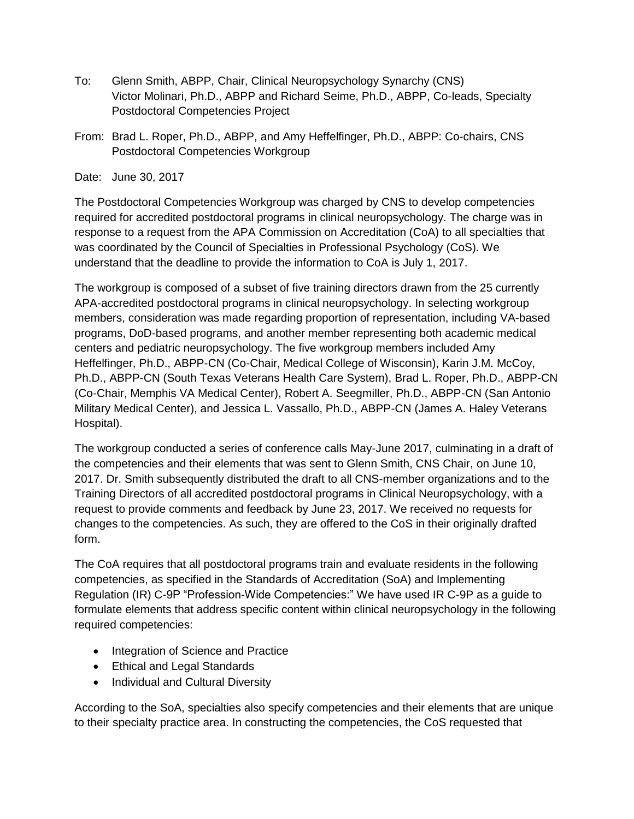- To: Glenn Smith, ABPP, Chair, Clinical Neuropsychology Synarchy (CNS) Victor Molinari, Ph.D., ABPP and Richard Seime, Ph.D., ABPP, Co-leads, Specialty Postdoctoral Competencies Project
- From: Brad L. Roper, Ph.D., ABPP, and Amy Heffelfinger, Ph.D., ABPP: Co-chairs, CNS Postdoctoral Competencies Workgroup

Date: June 30, 2017

The Postdoctoral Competencies Workgroup was charged by CNS to develop competencies required for accredited postdoctoral programs in clinical neuropsychology. The charge was in response to a request from the APA Commission on Accreditation (CoA) to all specialties that was coordinated by the Council of Specialties in Professional Psychology (CoS). We understand that the deadline to provide the information to CoA is July 1, 2017.

The workgroup is composed of a subset of five training directors drawn from the 25 currently APA-accredited postdoctoral programs in clinical neuropsychology. In selecting workgroup members, consideration was made regarding proportion of representation, including VA-based programs, DoD-based programs, and another member representing both academic medical centers and pediatric neuropsychology. The five workgroup members included Amy Heffelfinger, Ph.D., ABPP-CN (Co-Chair, Medical College of Wisconsin), Karin J.M. McCoy, Ph.D., ABPP-CN (South Texas Veterans Health Care System), Brad L. Roper, Ph.D., ABPP-CN (Co-Chair, Memphis VA Medical Center), Robert A. Seegmiller, Ph.D., ABPP-CN (San Antonio Military Medical Center), and Jessica L. Vassallo, Ph.D., ABPP-CN (James A. Haley Veterans Hospital).

The workgroup conducted a series of conference calls May-June 2017, culminating in a draft of the competencies and their elements that was sent to Glenn Smith, CNS Chair, on June 10, 2017. Dr. Smith subsequently distributed the draft to all CNS-member organizations and to the Training Directors of all accredited postdoctoral programs in Clinical Neuropsychology, with a request to provide comments and feedback by June 23, 2017. We received no requests for changes to the competencies. As such, they are offered to the CoS in their originally drafted form.

The CoA requires that all postdoctoral programs train and evaluate residents in the following competencies, as specified in the Standards of Accreditation (SoA) and Implementing Regulation (IR) C-9P "Profession-Wide Competencies:" We have used IR C-9P as a guide to formulate elements that address specific content within clinical neuropsychology in the following required competencies:

- Integration of Science and Practice
- Ethical and Legal Standards
- Individual and Cultural Diversity

According to the SoA, specialties also specify competencies and their elements that are unique to their specialty practice area. In constructing the competencies, the CoS requested that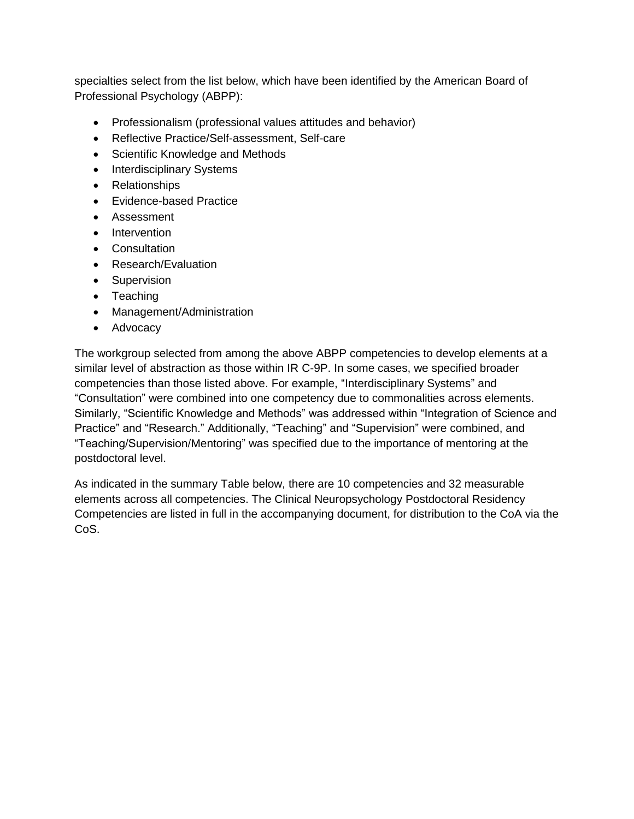specialties select from the list below, which have been identified by the American Board of Professional Psychology (ABPP):

- Professionalism (professional values attitudes and behavior)
- Reflective Practice/Self-assessment, Self-care
- Scientific Knowledge and Methods
- Interdisciplinary Systems
- Relationships
- Evidence-based Practice
- Assessment
- Intervention
- Consultation
- Research/Evaluation
- Supervision
- Teaching
- Management/Administration
- Advocacy

The workgroup selected from among the above ABPP competencies to develop elements at a similar level of abstraction as those within IR C-9P. In some cases, we specified broader competencies than those listed above. For example, "Interdisciplinary Systems" and "Consultation" were combined into one competency due to commonalities across elements. Similarly, "Scientific Knowledge and Methods" was addressed within "Integration of Science and Practice" and "Research." Additionally, "Teaching" and "Supervision" were combined, and "Teaching/Supervision/Mentoring" was specified due to the importance of mentoring at the postdoctoral level.

As indicated in the summary Table below, there are 10 competencies and 32 measurable elements across all competencies. The Clinical Neuropsychology Postdoctoral Residency Competencies are listed in full in the accompanying document, for distribution to the CoA via the CoS.